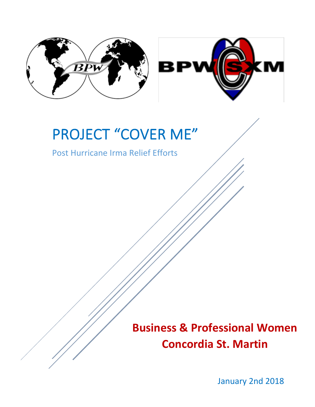

# PROJECT "COVER ME"

Post Hurricane Irma Relief Efforts

**Business & Professional Women Concordia St. Martin**

January 2nd 2018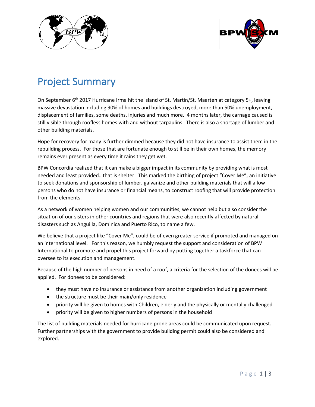



## Project Summary

On September 6<sup>th</sup> 2017 Hurricane Irma hit the island of St. Martin/St. Maarten at category 5+, leaving massive devastation including 90% of homes and buildings destroyed, more than 50% unemployment, displacement of families, some deaths, injuries and much more. 4 months later, the carnage caused is still visible through roofless homes with and without tarpaulins. There is also a shortage of lumber and other building materials.

Hope for recovery for many is further dimmed because they did not have insurance to assist them in the rebuilding process. For those that are fortunate enough to still be in their own homes, the memory remains ever present as every time it rains they get wet.

BPW Concordia realized that it can make a bigger impact in its community by providing what is most needed and least provided…that is shelter. This marked the birthing of project "Cover Me", an initiative to seek donations and sponsorship of lumber, galvanize and other building materials that will allow persons who do not have insurance or financial means, to construct roofing that will provide protection from the elements.

As a network of women helping women and our communities, we cannot help but also consider the situation of our sisters in other countries and regions that were also recently affected by natural disasters such as Anguilla, Dominica and Puerto Rico, to name a few.

We believe that a project like "Cover Me", could be of even greater service if promoted and managed on an international level. For this reason, we humbly request the support and consideration of BPW International to promote and propel this project forward by putting together a taskforce that can oversee to its execution and management.

Because of the high number of persons in need of a roof, a criteria for the selection of the donees will be applied. For donees to be considered:

- they must have no insurance or assistance from another organization including government
- the structure must be their main/only residence
- priority will be given to homes with Children, elderly and the physically or mentally challenged
- priority will be given to higher numbers of persons in the household

The list of building materials needed for hurricane prone areas could be communicated upon request. Further partnerships with the government to provide building permit could also be considered and explored.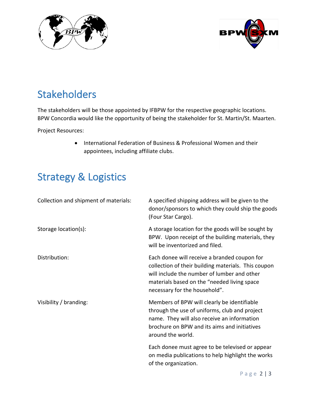



## Stakeholders

The stakeholders will be those appointed by IFBPW for the respective geographic locations. BPW Concordia would like the opportunity of being the stakeholder for St. Martin/St. Maarten.

Project Resources:

• International Federation of Business & Professional Women and their appointees, including affiliate clubs.

# Strategy & Logistics

| Collection and shipment of materials: | A specified shipping address will be given to the<br>donor/sponsors to which they could ship the goods<br>(Four Star Cargo).                                                                                                       |
|---------------------------------------|------------------------------------------------------------------------------------------------------------------------------------------------------------------------------------------------------------------------------------|
| Storage location(s):                  | A storage location for the goods will be sought by<br>BPW. Upon receipt of the building materials, they<br>will be inventorized and filed.                                                                                         |
| Distribution:                         | Each donee will receive a branded coupon for<br>collection of their building materials. This coupon<br>will include the number of lumber and other<br>materials based on the "needed living space<br>necessary for the household". |
| Visibility / branding:                | Members of BPW will clearly be identifiable<br>through the use of uniforms, club and project<br>name. They will also receive an information<br>brochure on BPW and its aims and initiatives<br>around the world.                   |
|                                       | Each donee must agree to be televised or appear<br>on media publications to help highlight the works<br>of the organization.                                                                                                       |